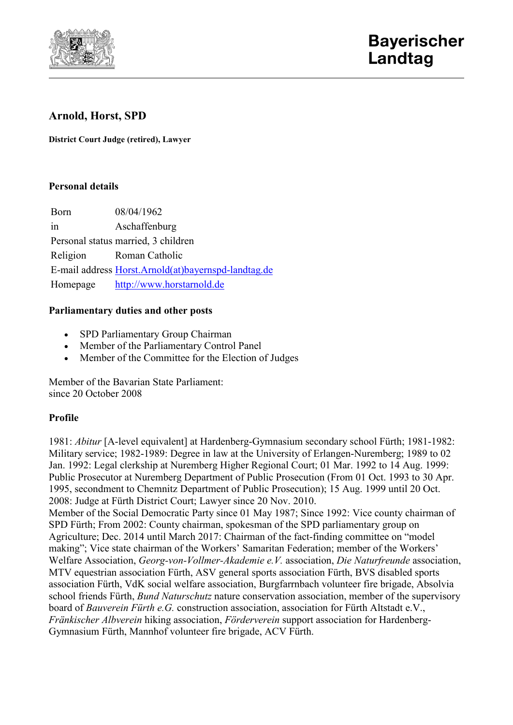

# **Arnold, Horst, SPD**

**District Court Judge (retired), Lawyer**

# **Personal details**

Born 08/04/1962 in Aschaffenburg Personal status married, 3 children Religion Roman Catholic E-mail address [Horst.Arnold\(at\)bayernspd-landtag.de](javascript:linkTo_UnCryptMailto() Homepage [http://www.horstarnold.de](http://www.horstarnold.de/)

# **Parliamentary duties and other posts**

- SPD Parliamentary Group Chairman
- Member of the Parliamentary Control Panel
- Member of the Committee for the Election of Judges

Member of the Bavarian State Parliament: since 20 October 2008

# **Profile**

1981: *Abitur* [A-level equivalent] at Hardenberg-Gymnasium secondary school Fürth; 1981-1982: Military service; 1982-1989: Degree in law at the University of Erlangen-Nuremberg; 1989 to 02 Jan. 1992: Legal clerkship at Nuremberg Higher Regional Court; 01 Mar. 1992 to 14 Aug. 1999: Public Prosecutor at Nuremberg Department of Public Prosecution (From 01 Oct. 1993 to 30 Apr. 1995, secondment to Chemnitz Department of Public Prosecution); 15 Aug. 1999 until 20 Oct. 2008: Judge at Fürth District Court; Lawyer since 20 Nov. 2010.

Member of the Social Democratic Party since 01 May 1987; Since 1992: Vice county chairman of SPD Fürth; From 2002: County chairman, spokesman of the SPD parliamentary group on Agriculture; Dec. 2014 until March 2017: Chairman of the fact-finding committee on "model making"; Vice state chairman of the Workers' Samaritan Federation; member of the Workers' Welfare Association, *Georg-von-Vollmer-Akademie e.V.* association, *Die Naturfreunde* association, MTV equestrian association Fürth, ASV general sports association Fürth, BVS disabled sports association Fürth, VdK social welfare association, Burgfarrnbach volunteer fire brigade, Absolvia school friends Fürth, *Bund Naturschutz* nature conservation association, member of the supervisory board of *Bauverein Fürth e.G.* construction association, association for Fürth Altstadt e.V., *Fränkischer Albverein* hiking association, *Förderverein* support association for Hardenberg-Gymnasium Fürth, Mannhof volunteer fire brigade, ACV Fürth.